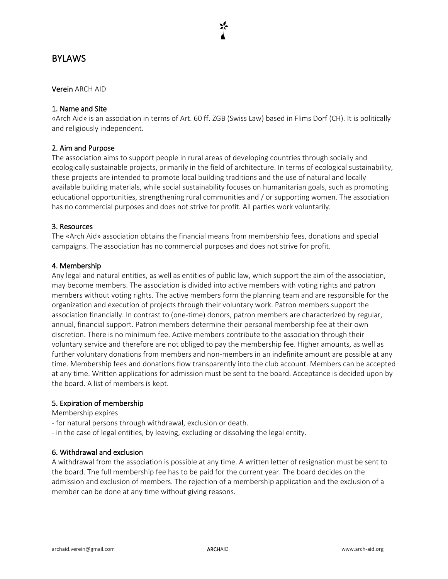## **BYLAWS**

#### Verein ARCH AID

### 1. Name and Site

«Arch Aid» is an association in terms of Art. 60 ff. ZGB (Swiss Law) based in Flims Dorf (CH). It is politically and religiously independent.

### 2. Aim and Purpose

The association aims to support people in rural areas of developing countries through socially and ecologically sustainable projects, primarily in the field of architecture. In terms of ecological sustainability, these projects are intended to promote local building traditions and the use of natural and locally available building materials, while social sustainability focuses on humanitarian goals, such as promoting educational opportunities, strengthening rural communities and / or supporting women. The association has no commercial purposes and does not strive for profit. All parties work voluntarily.

#### 3. Resources

The «Arch Aid» association obtains the financial means from membership fees, donations and special campaigns. The association has no commercial purposes and does not strive for profit.

#### 4. Membership

Any legal and natural entities, as well as entities of public law, which support the aim of the association, may become members. The association is divided into active members with voting rights and patron members without voting rights. The active members form the planning team and are responsible for the organization and execution of projects through their voluntary work. Patron members support the association financially. In contrast to (one-time) donors, patron members are characterized by regular, annual, financial support. Patron members determine their personal membership fee at their own discretion. There is no minimum fee. Active members contribute to the association through their voluntary service and therefore are not obliged to pay the membership fee. Higher amounts, as well as further voluntary donations from members and non-members in an indefinite amount are possible at any time. Membership fees and donations flow transparently into the club account. Members can be accepted at any time. Written applications for admission must be sent to the board. Acceptance is decided upon by the board. A list of members is kept.

#### 5. Expiration of membership

Membership expires

- for natural persons through withdrawal, exclusion or death.
- in the case of legal entities, by leaving, excluding or dissolving the legal entity.

#### 6. Withdrawal and exclusion

A withdrawal from the association is possible at any time. A written letter of resignation must be sent to the board. The full membership fee has to be paid for the current year. The board decides on the admission and exclusion of members. The rejection of a membership application and the exclusion of a member can be done at any time without giving reasons.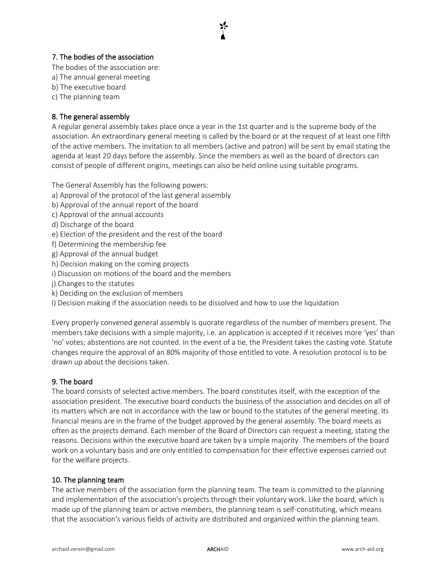# 7. The bodies of the association

The bodies of the association are:

- a) The annual general meeting
- b) The executive board
- c) The planning team

## 8. The general assembly

A regular general assembly takes place once a year in the 1st quarter and is the supreme body of the association. An extraordinary general meeting is called by the board or at the request of at least one fifth of the active members. The invitation to all members (active and patron) will be sent by email stating the agenda at least 20 days before the assembly. Since the members as well as the board of directors can consist of people of different origins, meetings can also be held online using suitable programs.

The General Assembly has the following powers:

- a) Approval of the protocol of the last general assembly
- b) Approval of the annual report of the board
- c) Approval of the annual accounts
- d) Discharge of the board
- e) Election of the president and the rest of the board
- f) Determining the membership fee
- g) Approval of the annual budget
- h) Decision making on the coming projects
- i) Discussion on motions of the board and the members
- j) Changes to the statutes
- k) Deciding on the exclusion of members
- l) Decision making if the association needs to be dissolved and how to use the liquidation

Every properly convened general assembly is quorate regardless of the number of members present. The members take decisions with a simple majority, i.e. an application is accepted if it receives more 'yes' than 'no' votes; abstentions are not counted. In the event of a tie, the President takes the casting vote. Statute changes require the approval of an 80% majority of those entitled to vote. A resolution protocol is to be drawn up about the decisions taken.

## 9. The board

The board consists of selected active members. The board constitutes itself, with the exception of the association president. The executive board conducts the business of the association and decides on all of its matters which are not in accordance with the law or bound to the statutes of the general meeting. Its financial means are in the frame of the budget approved by the general assembly. The board meets as often as the projects demand. Each member of the Board of Directors can request a meeting, stating the reasons. Decisions within the executive board are taken by a simple majority. The members of the board work on a voluntary basis and are only entitled to compensation for their effective expenses carried out for the welfare projects.

#### 10. The planning team

The active members of the association form the planning team. The team is committed to the planning and implementation of the association's projects through their voluntary work. Like the board, which is made up of the planning team or active members, the planning team is self-constituting, which means that the association's various fields of activity are distributed and organized within the planning team.